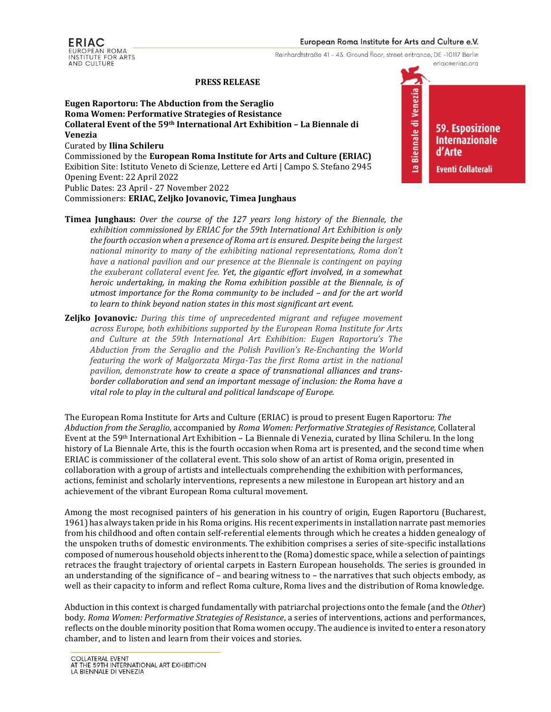Reinhardtstraße 41 - 43. Ground floor, street entrance, DE -10117 Berlin

#### **PRESS RELEASE**

**Eugen Raportoru: The Abduction from the Seraglio Roma Women: Performative Strategies of Resistance Collateral Event of the 59th International Art Exhibition – La Biennale di Venezia** Curated by **Ilina Schileru** Commissioned by the **European Roma Institute for Arts and Culture (ERIAC)** Exibition Site: Istituto Veneto di Scienze, Lettere ed Arti | Campo S. Stefano 2945 Opening Event: 22 April 2022 Public Dates: 23 April - 27 November 2022

Commissioners: **ERIAC, Zeljko Jovanovic, Timea Junghaus**

- **Timea Junghaus:** *Over the course of the 127 years long history of the Biennale, the exhibition commissioned by ERIAC for the 59th International Art Exhibition is only the fourth occasion when a presence of Roma art is ensured. Despite being the largest national minority to many of the exhibiting national representations, Roma don't have a national pavilion and our presence at the Biennale is contingent on paying the exuberant collateral event fee. Yet, the gigantic effort involved, in a somewhat heroic undertaking, in making the Roma exhibition possible at the Biennale, is of utmost importance for the Roma community to be included – and for the art world to learn to think beyond nation states in this most significant art event.*
- **Zeljko Jovanovic***: During this time of unprecedented migrant and refugee movement across Europe, both exhibitions supported by the European Roma Institute for Arts and Culture at the 59th International Art Exhibition: Eugen Raportoru's The Abduction from the Seraglio and the Polish Pavilion's Re-Enchanting the World featuring the work of Malgorzata Mirga-Tas the first Roma artist in the national pavilion, demonstrate how to create a space of transnational alliances and transborder collaboration and send an important message of inclusion: the Roma have a vital role to play in the cultural and political landscape of Europe.*

The European Roma Institute for Arts and Culture (ERIAC) is proud to present Eugen Raportoru: *The Abduction from the Seraglio*, accompanied by *Roma Women: Performative Strategies of Resistance,* Collateral Event at the 59th International Art Exhibition – La Biennale di Venezia, curated by Ilina Schileru. In the long history of La Biennale Arte, this is the fourth occasion when Roma art is presented, and the second time when ERIAC is commissioner of the collateral event. This solo show of an artist of Roma origin, presented in collaboration with a group of artists and intellectuals comprehending the exhibition with performances, actions, feminist and scholarly interventions, represents a new milestone in European art history and an achievement of the vibrant European Roma cultural movement.

Among the most recognised painters of his generation in his country of origin, Eugen Raportoru (Bucharest, 1961) has always taken pride in his Roma origins. His recent experiments in installation narrate past memories from his childhood and often contain self-referential elements through which he creates a hidden genealogy of the unspoken truths of domestic environments. The exhibition comprises a series of site-specific installations composed of numerous household objects inherent to the (Roma) domestic space, while a selection of paintings retraces the fraught trajectory of oriental carpets in Eastern European households. The series is grounded in an understanding of the significance of – and bearing witness to – the narratives that such objects embody, as well as their capacity to inform and reflect Roma culture, Roma lives and the distribution of Roma knowledge.

Abduction in this context is charged fundamentally with patriarchal projections onto the female (and the *Other*) body. *Roma Women: Performative Strategies of Resistance*, a series of interventions, actions and performances, reflects on the double minority position that Roma women occupy. The audience is invited to enter a resonatory chamber, and to listen and learn from their voices and stories.

7 La Biennale di Venezia

**59. Esposizione Internazionale** d'Arte **Eventi Collaterali** 

eriac@eriac.org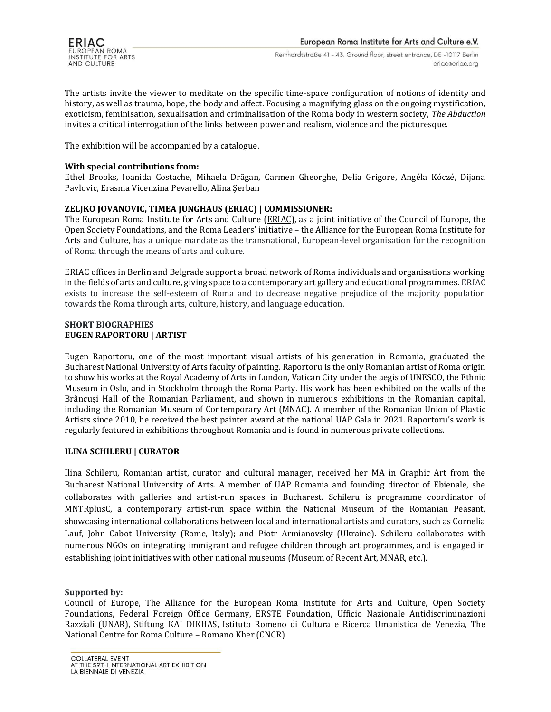The artists invite the viewer to meditate on the specific time-space configuration of notions of identity and history, as well as trauma, hope, the body and affect. Focusing a magnifying glass on the ongoing mystification, exoticism, feminisation, sexualisation and criminalisation of the Roma body in western society, *The Abduction*  invites a critical interrogation of the links between power and realism, violence and the picturesque.

The exhibition will be accompanied by a catalogue.

## **With special contributions from:**

Ethel Brooks, Ioanida Costache, Mihaela Drăgan, Carmen Gheorghe, Delia Grigore, Angéla Kóczé, Dijana Pavlovic, Erasma Vicenzina Pevarello, Alina Șerban

# **ZELJKO JOVANOVIC, TIMEA JUNGHAUS (ERIAC) | COMMISSIONER:**

The European Roma Institute for Arts and Culture [\(ERIAC\)](https://eriac.org/), as a joint initiative of the Council of Europe, the Open Society Foundations, and the Roma Leaders' initiative – the Alliance for the European Roma Institute for Arts and Culture, has a unique mandate as the transnational, European-level organisation for the recognition of Roma through the means of arts and culture.

ERIAC offices in Berlin and Belgrade support a broad network of Roma individuals and organisations working in the fields of arts and culture, giving space to a contemporary art gallery and educational programmes. ERIAC exists to increase the self-esteem of Roma and to decrease negative prejudice of the majority population towards the Roma through arts, culture, history, and language education.

#### **SHORT BIOGRAPHIES EUGEN RAPORTORU | ARTIST**

Eugen Raportoru, one of the most important visual artists of his generation in Romania, graduated the Bucharest National University of Arts faculty of painting. Raportoru is the only Romanian artist of Roma origin to show his works at the Royal Academy of Arts in London, Vatican City under the aegis of UNESCO, the Ethnic Museum in Oslo, and in Stockholm through the Roma Party. His work has been exhibited on the walls of the Brâncuşi Hall of the Romanian Parliament, and shown in numerous exhibitions in the Romanian capital, including the Romanian Museum of Contemporary Art (MNAC). A member of the Romanian Union of Plastic Artists since 2010, he received the best painter award at the national UAP Gala in 2021. Raportoru's work is regularly featured in exhibitions throughout Romania and is found in numerous private collections.

### **ILINA SCHILERU | CURATOR**

Ilina Schileru, Romanian artist, curator and cultural manager, received her MA in Graphic Art from the Bucharest National University of Arts. A member of UAP Romania and founding director of Ebienale, she collaborates with galleries and artist-run spaces in Bucharest. Schileru is programme coordinator of MNTRplusC, a contemporary artist-run space within the National Museum of the Romanian Peasant, showcasing international collaborations between local and international artists and curators, such as Cornelia Lauf, John Cabot University (Rome, Italy); and Piotr Armianovsky (Ukraine). Schileru collaborates with numerous NGOs on integrating immigrant and refugee children through art programmes, and is engaged in establishing joint initiatives with other national museums (Museum of Recent Art, MNAR, etc.).

### **Supported by:**

Council of Europe, The Alliance for the European Roma Institute for Arts and Culture, Open Society Foundations, Federal Foreign Office Germany, ERSTE Foundation, Ufficio Nazionale Antidiscriminazioni Razziali (UNAR), Stiftung KAI DIKHAS, Istituto Romeno di Cultura e Ricerca Umanistica de Venezia, The National Centre for Roma Culture – Romano Kher (CNCR)